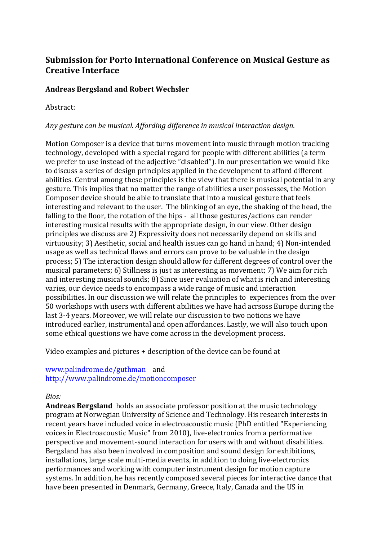# **Submission for Porto International Conference on Musical Gesture as Creative Interface**

## **Andreas Bergsland and Robert Wechsler**

Abstract:

### Any gesture can be musical. Affording difference in musical interaction design.

Motion Composer is a device that turns movement into music through motion tracking technology, developed with a special regard for people with different abilities (a term we prefer to use instead of the adjective "disabled"). In our presentation we would like to discuss a series of design principles applied in the development to afford different abilities. Central among these principles is the view that there is musical potential in any gesture. This implies that no matter the range of abilities a user possesses, the Motion Composer device should be able to translate that into a musical gesture that feels interesting and relevant to the user. The blinking of an eye, the shaking of the head, the falling to the floor, the rotation of the hips - all those gestures/actions can render interesting musical results with the appropriate design, in our view. Other design principles we discuss are 2) Expressivity does not necessarily depend on skills and virtuousity: 3) Aesthetic, social and health issues can go hand in hand: 4) Non-intended usage as well as technical flaws and errors can prove to be valuable in the design process: 5) The interaction design should allow for different degrees of control over the musical parameters;  $\delta$ ) Stillness is just as interesting as movement;  $\delta$ ) We aim for rich and interesting musical sounds; 8) Since user evaluation of what is rich and interesting varies, our device needs to encompass a wide range of music and interaction possibilities. In our discussion we will relate the principles to experiences from the over 50 workshops with users with different abilities we have had acrsoss Europe during the last 3-4 years. Moreover, we will relate our discussion to two notions we have introduced earlier, instrumental and open affordances. Lastly, we will also touch upon some ethical questions we have come across in the development process.

Video examples and pictures  $+$  description of the device can be found at

#### www.palindrome.de/guthman and http://www.palindrome.de/motioncomposer

### *Bios:*

**Andreas Bergsland** holds an associate professor position at the music technology program at Norwegian University of Science and Technology. His research interests in recent years have included voice in electroacoustic music (PhD entitled "Experiencing voices in Electroacoustic Music" from 2010), live-electronics from a performative perspective and movement-sound interaction for users with and without disabilities. Bergsland has also been involved in composition and sound design for exhibitions, installations, large scale multi-media events, in addition to doing live-electronics performances and working with computer instrument design for motion capture systems. In addition, he has recently composed several pieces for interactive dance that have been presented in Denmark, Germany, Greece, Italy, Canada and the US in